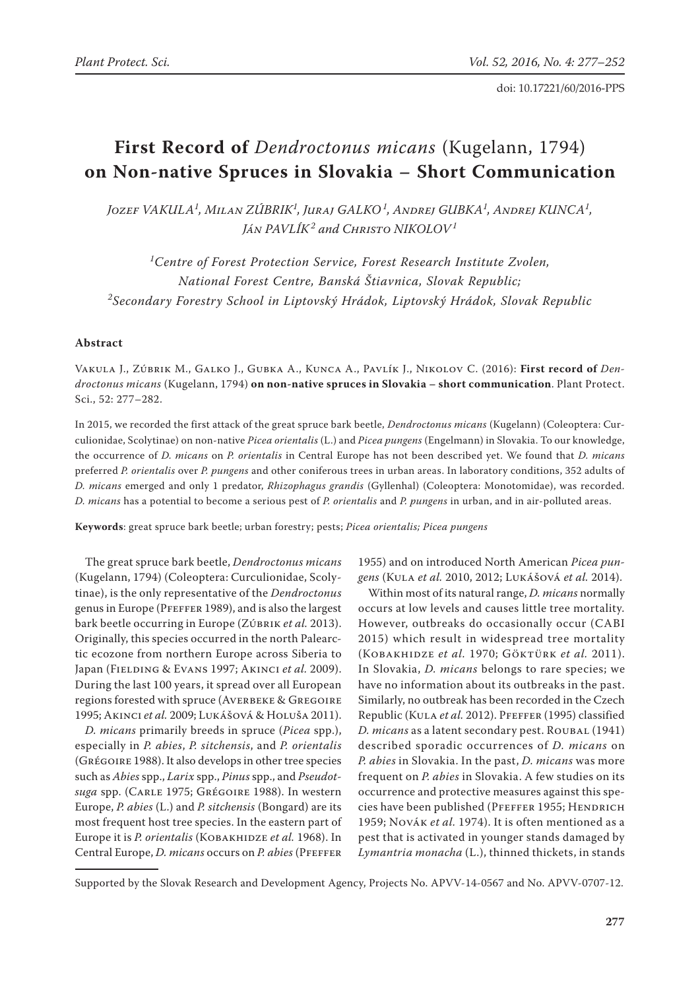# **First Record of** *Dendroctonus micans* (Kugelann, 1794) **on Non-native Spruces in Slovakia – Short Communication**

*Jozef VAKULA<sup>1</sup> , Milan ZÚBRIK<sup>1</sup> , Juraj GALKO<sup>1</sup> , Andrej GUBKA<sup>1</sup> , Andrej KUNCA<sup>1</sup> , Ján PAVLÍK<sup>2</sup> and Christo NIKOLOV<sup>1</sup>*

*1 Centre of Forest Protection Service, Forest Research Institute Zvolen, National Forest Centre, Banská Štiavnica, Slovak Republic; 2 Secondary Forestry School in Liptovský Hrádok, Liptovský Hrádok, Slovak Republic*

## **Abstract**

Vakula J., Zúbrik M., Galko J., Gubka A., Kunca A., Pavlík J., Nikolov C. (2016): **First record of** *Dendroctonus micans* (Kugelann, 1794) **on non-native spruces in Slovakia – short communication**. Plant Protect. Sci., 52: 277–282.

In 2015, we recorded the first attack of the great spruce bark beetle, *Dendroctonus micans* (Kugelann) (Coleoptera: Curculionidae, Scolytinae) on non-native *Picea orientalis* (L.) and *Picea pungens* (Engelmann) in Slovakia. To our knowledge, the occurrence of *D. micans* on *P. orientalis* in Central Europe has not been described yet. We found that *D. micans* preferred *P. orientalis* over *P. pungens* and other coniferous trees in urban areas. In laboratory conditions, 352 adults of *D. micans* emerged and only 1 predator, *Rhizophagus grandis* (Gyllenhal) (Coleoptera: Monotomidae), was recorded. *D. micans* has a potential to become a serious pest of *P. orientalis* and *P. pungens* in urban, and in air-polluted areas.

**Keywords**: great spruce bark beetle; urban forestry; pests; *Picea orientalis; Picea pungens*

The great spruce bark beetle, *Dendroctonus micans* (Kugelann, 1794) (Coleoptera: Curculionidae, Scolytinae), is the only representative of the *Dendroctonus* genus in Europe (Pfeffer 1989), and is also the largest bark beetle occurring in Europe (Zúbrik *et al.* 2013). Originally, this species occurred in the north Palearctic ecozone from northern Europe across Siberia to Japan (Fielding & Evans 1997; Akinci *et al.* 2009). During the last 100 years, it spread over all European regions forested with spruce (AVERBEKE & GREGOIRE 1995; Akinci *et al.* 2009; Lukášová & Holuša 2011).

*D. micans* primarily breeds in spruce (*Picea* spp.), especially in *P. abies*, *P. sitchensis*, and *P. orientalis* (Grégoire 1988). It also develops in other tree species such as *Abies* spp., *Larix* spp., *Pinus* spp., and *Pseudotsuga* spp. (Carle 1975; Grégoire 1988). In western Europe, *P. abies* (L.) and *P. sitchensis* (Bongard) are its most frequent host tree species. In the eastern part of Europe it is *P. orientalis* (Kobakhidze *et al.* 1968). In Central Europe, *D. micans* occurs on *P. abies* (Pfeffer

1955) and on introduced North American *Picea pungens* (Kula *et al.* 2010, 2012; Lukášová *et al.* 2014).

Within most of its natural range, *D. micans* normally occurs at low levels and causes little tree mortality. However, outbreaks do occasionally occur (CABI 2015) which result in widespread tree mortality (Kobakhidze *et al.* 1970; Göktürk *et al.* 2011). In Slovakia, *D. micans* belongs to rare species; we have no information about its outbreaks in the past. Similarly, no outbreak has been recorded in the Czech Republic (Kula *et al.* 2012). Pfeffer (1995) classified *D. micans* as a latent secondary pest. Roubal (1941) described sporadic occurrences of *D. micans* on *P. abies* in Slovakia. In the past, *D. micans* was more frequent on *P. abies* in Slovakia. A few studies on its occurrence and protective measures against this species have been published (PFEFFER 1955; HENDRICH 1959; Novák *et al.* 1974). It is often mentioned as a pest that is activated in younger stands damaged by *Lymantria monacha* (L.), thinned thickets, in stands

Supported by the Slovak Research and Development Agency, Projects No. APVV-14-0567 and No. APVV-0707-12.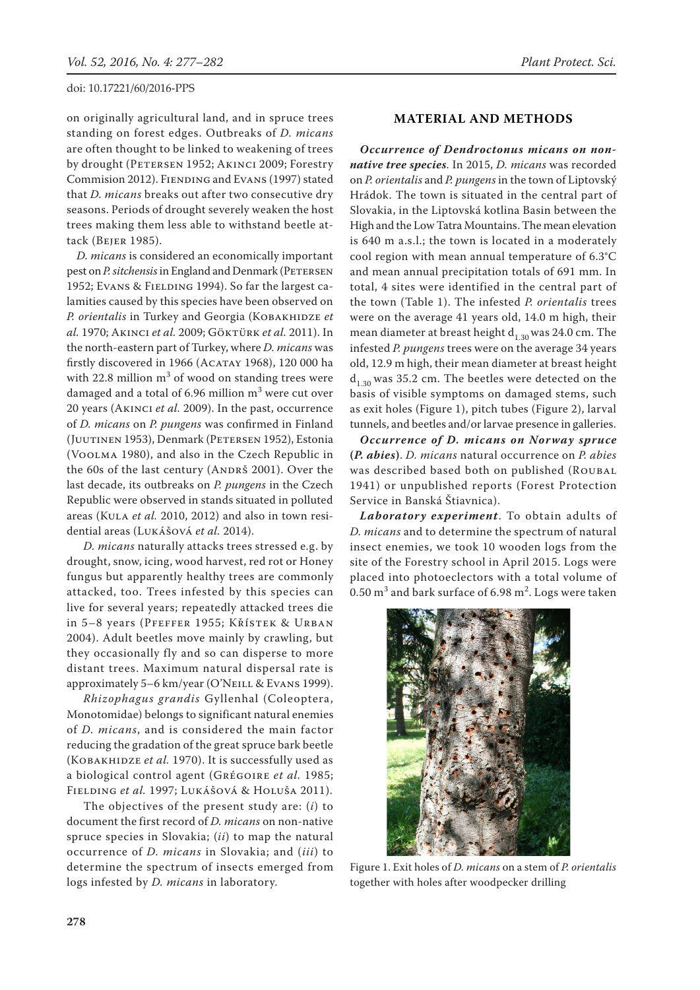on originally agricultural land, and in spruce trees standing on forest edges. Outbreaks of *D. micans* are often thought to be linked to weakening of trees by drought (PETERSEN 1952; AKINCI 2009; Forestry Commision 2012). FIENDING and EVANS (1997) stated that *D. micans* breaks out after two consecutive dry seasons. Periods of drought severely weaken the host trees making them less able to withstand beetle attack (Bejer 1985).

*D. micans* is considered an economically important pest on *P. sitchensis* in England and Denmark (PETERSEN 1952; Evans & FIELDING 1994). So far the largest calamities caused by this species have been observed on P. orientalis in Turkey and Georgia (KOBAKHIDZE et *al.* 1970; Akinci *et al.* 2009; Göktürk *et al.* 2011). In the north-eastern part of Turkey, where *D. micans* was firstly discovered in 1966 (Acatay 1968), 120 000 ha with 22.8 million  $m^3$  of wood on standing trees were damaged and a total of 6.96 million  $\mathrm{m}^{3}$  were cut over 20 years (Akinci *et al.* 2009). In the past, occurrence of *D. micans* on *P. pungens* was confirmed in Finland (JUUTINEN 1953), Denmark (PETERSEN 1952), Estonia (Voolma 1980), and also in the Czech Republic in the 60s of the last century (ANDRŠ 2001). Over the last decade, its outbreaks on *P. pungens* in the Czech Republic were observed in stands situated in polluted areas (Kula *et al.* 2010, 2012) and also in town residential areas (Lukášová *et al.* 2014).

*D. micans* naturally attacks trees stressed e.g. by drought, snow, icing, wood harvest, red rot or Honey fungus but apparently healthy trees are commonly attacked, too. Trees infested by this species can live for several years; repeatedly attacked trees die in 5–8 years (Pfeffer 1955; Křístek & Urban 2004). Adult beetles move mainly by crawling, but they occasionally fly and so can disperse to more distant trees. Maximum natural dispersal rate is approximately 5-6 km/year (O'NEILL & EVANS 1999).

*Rhizophagus grandis* Gyllenhal (Coleoptera, Monotomidae) belongs to significant natural enemies of *D. micans*, and is considered the main factor reducing the gradation of the great spruce bark beetle (Kobakhidze *et al.* 1970). It is successfully used as a biological control agent (Grégoire *et al.* 1985; Fielding *et al.* 1997; Lukášová & Holuša 2011).

The objectives of the present study are: (*i*) to document the first record of *D. micans* on non-native spruce species in Slovakia; (*ii*) to map the natural occurrence of *D. micans* in Slovakia; and (*iii*) to determine the spectrum of insects emerged from logs infested by *D. micans* in laboratory.

## **MATERIAL AND METHODS**

*Occurrence of Dendroctonus micans on nonnative tree species*. In 2015, *D. micans* was recorded on *P. orientalis* and *P. pungens* in the town of Liptovský Hrádok. The town is situated in the central part of Slovakia, in the Liptovská kotlina Basin between the High and the Low Tatra Mountains. The mean elevation is 640 m a.s.l.; the town is located in a moderately cool region with mean annual temperature of 6.3°C and mean annual precipitation totals of 691 mm. In total, 4 sites were identified in the central part of the town (Table 1). The infested *P. orientalis* trees were on the average 41 years old, 14.0 m high, their mean diameter at breast height  $d_{1,30}$  was 24.0 cm. The infested *P. pungens* trees were on the average 34 years old, 12.9 m high, their mean diameter at breast height  $d_{1,30}$  was 35.2 cm. The beetles were detected on the basis of visible symptoms on damaged stems, such as exit holes (Figure 1), pitch tubes (Figure 2), larval tunnels, and beetles and/or larvae presence in galleries.

*Occurrence of D. micans on Norway spruce*  **(***P. abies***)**. *D. micans* natural occurrence on *P. abies* was described based both on published (ROUBAL 1941) or unpublished reports (Forest Protection Service in Banská Štiavnica).

*Laboratory experiment*. To obtain adults of *D. micans* and to determine the spectrum of natural insect enemies, we took 10 wooden logs from the site of the Forestry school in April 2015. Logs were placed into photoeclectors with a total volume of  $0.50\,\mathrm{m}^3$  and bark surface of 6.98  $\mathrm{m}^2$ . Logs were taken



Figure 1. Exit holes of *D. micans* on a stem of *P. orientalis* together with holes after woodpecker drilling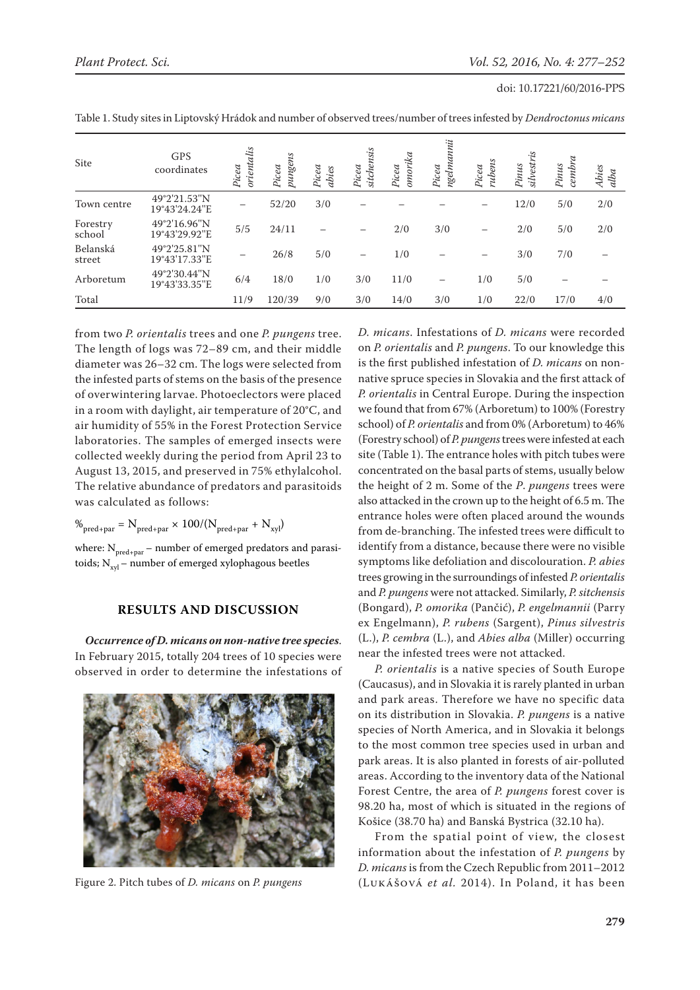|  | doi: 10.17221/60/2016-PPS |  |  |
|--|---------------------------|--|--|
|--|---------------------------|--|--|

| Site               | <b>GPS</b><br>coordinates     | orientalis<br>Picea | pungens<br>Picea | Picea<br>abies | sitchensis<br>Picea      | omorika<br>Picea | ngelmannii<br>Picea | rubens<br>Picea          | silvestris<br>Pinus | $c$ embra<br>Pinus | Abies<br>alba |
|--------------------|-------------------------------|---------------------|------------------|----------------|--------------------------|------------------|---------------------|--------------------------|---------------------|--------------------|---------------|
| Town centre        | 49°2'21.53"N<br>19°43'24.24"E |                     | 52/20            | 3/0            |                          |                  |                     |                          | 12/0                | 5/0                | 2/0           |
| Forestry<br>school | 49°2'16.96"N<br>19°43'29.92"E | 5/5                 | 24/11            |                |                          | 2/0              | 3/0                 | $\overline{\phantom{m}}$ | 2/0                 | 5/0                | 2/0           |
| Belanská<br>street | 49°2'25.81"N<br>19°43'17.33"E |                     | 26/8             | 5/0            | $\overline{\phantom{0}}$ | 1/0              |                     |                          | 3/0                 | 7/0                |               |
| Arboretum          | 49°2'30.44"N<br>19°43'33.35"E | 6/4                 | 18/0             | 1/0            | 3/0                      | 11/0             | —                   | 1/0                      | 5/0                 |                    |               |
| Total              |                               | 11/9                | 120/39           | 9/0            | 3/0                      | 14/0             | 3/0                 | 1/0                      | 22/0                | 17/0               | 4/0           |

Table 1. Study sites in Liptovský Hrádok and number of observed trees/number of trees infested by *Dendroctonus micans*

from two *P. orientalis* trees and one *P. pungens* tree. The length of logs was 72–89 cm, and their middle diameter was 26–32 cm. The logs were selected from the infested parts of stems on the basis of the presence of overwintering larvae. Photoeclectors were placed in a room with daylight, air temperature of 20°C, and air humidity of 55% in the Forest Protection Service laboratories. The samples of emerged insects were collected weekly during the period from April 23 to August 13, 2015, and preserved in 75% ethylalcohol. The relative abundance of predators and parasitoids was calculated as follows:

$$
\%_{\text{pred}+\text{par}} = N_{\text{pred}+\text{par}} \times 100/(N_{\text{pred}+\text{par}} + N_{\text{xyl}})
$$

where:  $N_{\text{pred+par}}$  – number of emerged predators and parasitoids;  $N_{\text{vol}}$  – number of emerged xylophagous beetles

# **RESULTS AND DISCUSSION**

*Occurrence of D. micans on non-native tree species*. In February 2015, totally 204 trees of 10 species were observed in order to determine the infestations of



*D. micans*. Infestations of *D. micans* were recorded on *P. orientalis* and *P. pungens*. To our knowledge this is the first published infestation of *D. micans* on nonnative spruce species in Slovakia and the first attack of *P. orientalis* in Central Europe. During the inspection we found that from 67% (Arboretum) to 100% (Forestry school) of *P. orientalis* and from 0% (Arboretum) to 46% (Forestry school) of *P. pungens* trees were infested at each site (Table 1). The entrance holes with pitch tubes were concentrated on the basal parts of stems, usually below the height of 2 m. Some of the *P*. *pungens* trees were also attacked in the crown up to the height of 6.5 m. The entrance holes were often placed around the wounds from de-branching. The infested trees were difficult to identify from a distance, because there were no visible symptoms like defoliation and discolouration. *P. abies* trees growing in the surroundings of infested *P. orientalis* and *P. pungens* were not attacked. Similarly, *P. sitchensis*  (Bongard), *P. omorika* (Pančić), *P. engelmannii* (Parry ex Engelmann), *P. rubens* (Sargent), *Pinus silvestris* (L.), *P. cembra* (L.), and *Abies alba* (Miller) occurring near the infested trees were not attacked.

*P. orientalis* is a native species of South Europe (Caucasus), and in Slovakia it is rarely planted in urban and park areas. Therefore we have no specific data on its distribution in Slovakia. *P. pungens* is a native species of North America, and in Slovakia it belongs to the most common tree species used in urban and park areas. It is also planted in forests of air-polluted areas. According to the inventory data of the National Forest Centre, the area of *P. pungens* forest cover is 98.20 ha, most of which is situated in the regions of Košice (38.70 ha) and Banská Bystrica (32.10 ha).

From the spatial point of view, the closest information about the infestation of *P. pungens* by *D. micans* is from the Czech Republic from 2011–2012 Figure 2. Pitch tubes of *D. micans* on *P. pungens* (Lukášová *et al.* 2014). In Poland, it has been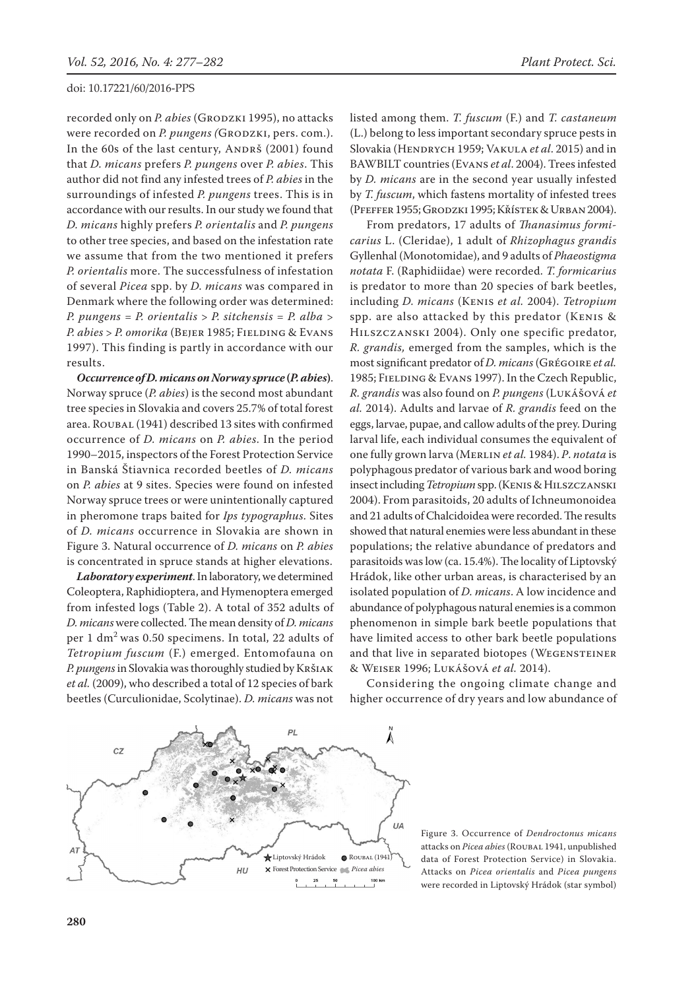recorded only on *P. abies* (GRODZKI 1995), no attacks were recorded on *P. pungens (GRODZKI, pers. com.)*. In the 60s of the last century, ANDRŠ (2001) found that *D. micans* prefers *P. pungens* over *P. abies*. This author did not find any infested trees of *P. abies* in the surroundings of infested *P. pungens* trees. This is in accordance with our results. In our study we found that *D. micans* highly prefers *P. orientalis* and *P. pungens* to other tree species, and based on the infestation rate we assume that from the two mentioned it prefers *P. orientalis* more. The successfulness of infestation of several *Picea* spp. by *D. micans* was compared in Denmark where the following order was determined: *P. pungens* = *P. orientalis* > *P. sitchensis = P. alba* > *P. abies* > *P. omorika* (Bejer 1985; Fielding & Evans 1997). This finding is partly in accordance with our results.

*Occurrence of D. micans on Norway spruce* **(***P. abies***)**. Norway spruce (*P. abies*) is the second most abundant tree species in Slovakia and covers 25.7% of total forest area. ROUBAL (1941) described 13 sites with confirmed occurrence of *D. micans* on *P. abies*. In the period 1990–2015, inspectors of the Forest Protection Service in Banská Štiavnica recorded beetles of *D. micans* on *P. abies* at 9 sites. Species were found on infested Norway spruce trees or were unintentionally captured in pheromone traps baited for *Ips typographus*. Sites of *D. micans* occurrence in Slovakia are shown in Figure 3. Natural occurrence of *D. micans* on *P. abies* is concentrated in spruce stands at higher elevations.

*Laboratory experiment*. In laboratory, we determined Coleoptera, Raphidioptera, and Hymenoptera emerged from infested logs (Table 2). A total of 352 adults of *D. micans* were collected. The mean density of *D. micans* per 1 dm2 was 0.50 specimens. In total, 22 adults of *Tetropium fuscum* (F.) emerged. Entomofauna on *P. pungens* in Slovakia was thoroughly studied by Kršiak *et al.* (2009), who described a total of 12 species of bark beetles (Curculionidae, Scolytinae). *D. micans* was not listed among them. *T. fuscum* (F.) and *T. castaneum*  (L.) belong to less important secondary spruce pests in Slovakia (Hendrych 1959; Vakula *et al*. 2015) and in BAWBILT countries (Evans *et al*. 2004). Trees infested by *D. micans* are in the second year usually infested by *T. fuscum*, which fastens mortality of infested trees (Pfeffer 1955; Grodzki 1995; Křístek & Urban 2004).

From predators, 17 adults of *Thanasimus formicarius* L. (Cleridae), 1 adult of *Rhizophagus grandis*  Gyllenhal (Monotomidae), and 9 adults of *Phaeostigma notata* F. (Raphidiidae) were recorded. *T. formicarius* is predator to more than 20 species of bark beetles, including *D. micans* (Kenis *et al.* 2004). *Tetropium* spp. are also attacked by this predator (Kenis & Hilszczanski 2004). Only one specific predator, *R. grandis,* emerged from the samples, which is the most significant predator of *D. micans* (Grégoire *et al.* 1985; Fielding & Evans 1997). In the Czech Republic, *R. grandis* was also found on *P. pungens* (Lukášová *et al.* 2014). Adults and larvae of *R. grandis* feed on the eggs, larvae, pupae, and callow adults of the prey. During larval life, each individual consumes the equivalent of one fully grown larva (Merlin *et al.* 1984). *P*. *notata* is polyphagous predator of various bark and wood boring insect including *Tetropium* spp. (Kenis & Hilszczanski 2004). From parasitoids, 20 adults of Ichneumonoidea and 21 adults of Chalcidoidea were recorded. The results showed that natural enemies were less abundant in these populations; the relative abundance of predators and parasitoids was low (ca. 15.4%). The locality of Liptovský Hrádok, like other urban areas, is characterised by an isolated population of *D. micans*. A low incidence and abundance of polyphagous natural enemies is a common phenomenon in simple bark beetle populations that have limited access to other bark beetle populations and that live in separated biotopes (WEGENSTEINER & Weiser 1996; Lukášová *et al.* 2014).

Considering the ongoing climate change and higher occurrence of dry years and low abundance of



Figure 3. Occurrence of *Dendroctonus micans* attacks on Picea abies (ROUBAL 1941, unpublished data of Forest Protection Service) in Slovakia. Attacks on *Picea orientalis* and *Picea pungens*  were recorded in Liptovský Hrádok (star symbol)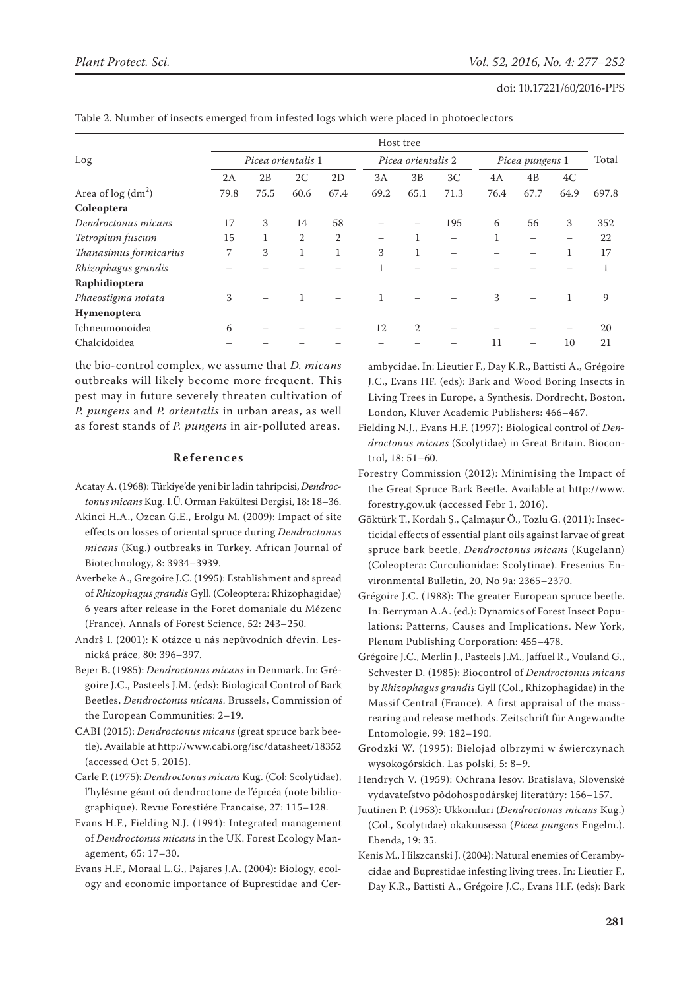|                        | Host tree          |      |      |                |                    |                |                          |                 |                |      |       |
|------------------------|--------------------|------|------|----------------|--------------------|----------------|--------------------------|-----------------|----------------|------|-------|
| Log                    | Picea orientalis 1 |      |      |                | Picea orientalis 2 |                |                          | Picea pungens 1 |                |      | Total |
|                        | 2A                 | 2B   | 2C   | 2D             | 3A                 | 3B             | 3 <sub>C</sub>           | 4A              | 4 <sub>B</sub> | 4C   |       |
| Area of $log (dm2)$    | 79.8               | 75.5 | 60.6 | 67.4           | 69.2               | 65.1           | 71.3                     | 76.4            | 67.7           | 64.9 | 697.8 |
| Coleoptera             |                    |      |      |                |                    |                |                          |                 |                |      |       |
| Dendroctonus micans    | 17                 | 3    | 14   | 58             |                    |                | 195                      | 6               | 56             | 3    | 352   |
| Tetropium fuscum       | 15                 |      | 2    | $\overline{2}$ |                    |                |                          | 1               | -              | —    | 22    |
| Thanasimus formicarius | 7                  | 3    |      | $\mathbf 1$    | 3                  | 1              | $\overline{\phantom{0}}$ |                 |                | 1    | 17    |
| Rhizophagus grandis    |                    |      |      |                | 1                  |                |                          |                 |                |      | 1     |
| Raphidioptera          |                    |      |      |                |                    |                |                          |                 |                |      |       |
| Phaeostigma notata     | 3                  |      |      |                |                    |                |                          | 3               |                |      | 9     |
| Hymenoptera            |                    |      |      |                |                    |                |                          |                 |                |      |       |
| Ichneumonoidea         | 6                  |      |      |                | 12                 | $\overline{2}$ |                          |                 |                |      | 20    |
| Chalcidoidea           |                    |      |      |                |                    |                |                          | 11              |                | 10   | 21    |

Table 2. Number of insects emerged from infested logs which were placed in photoeclectors

the bio-control complex, we assume that *D. micans* outbreaks will likely become more frequent. This pest may in future severely threaten cultivation of *P. pungens* and *P. orientalis* in urban areas, as well as forest stands of *P. pungens* in air-polluted areas.

## **References**

- Acatay A. (1968): Türkiye'de yeni bir ladin tahripcisi, *Dendroctonus micans* Kug. I.Ü. Orman Fakültesi Dergisi, 18: 18–36.
- Akinci H.A., Ozcan G.E., Erolgu M. (2009): Impact of site effects on losses of oriental spruce during *Dendroctonus micans* (Kug.) outbreaks in Turkey. African Journal of Biotechnology, 8: 3934–3939.
- Averbeke A., Gregoire J.C. (1995): Establishment and spread of *Rhizophagus grandis* Gyll. (Coleoptera: Rhizophagidae) 6 years after release in the Foret domaniale du Mézenc (France). Annals of Forest Science, 52: 243–250.
- Andrš I. (2001): K otázce u nás nepůvodních dřevin. Lesnická práce, 80: 396–397.
- Bejer B. (1985): *Dendroctonus micans* in Denmark. In: Grégoire J.C., Pasteels J.M. (eds): Biological Control of Bark Beetles, *Dendroctonus micans*. Brussels, Commission of the European Communities: 2–19.
- CABI (2015): *Dendroctonus micans* (great spruce bark beetle). Available at http://www.cabi.org/isc/datasheet/18352 (accessed Oct 5, 2015).
- Carle P. (1975): *Dendroctonus micans* Kug. (Col: Scolytidae), l'hylésine géant oú dendroctone de l'épicéa (note bibliographique). Revue Forestiére Francaise, 27: 115–128.
- Evans H.F., Fielding N.J. (1994): Integrated management of *Dendroctonus micans* in the UK. Forest Ecology Management, 65: 17–30.

Evans H.F., Moraal L.G., Pajares J.A. (2004): Biology, ecology and economic importance of Buprestidae and Cerambycidae. In: Lieutier F., Day K.R., Battisti A., Grégoire J.C., Evans HF. (eds): Bark and Wood Boring Insects in Living Trees in Europe, a Synthesis. Dordrecht, Boston, London, Kluver Academic Publishers: 466–467.

- Fielding N.J., Evans H.F. (1997): Biological control of *Dendroctonus micans* (Scolytidae) in Great Britain. Biocontrol, 18: 51–60.
- Forestry Commission (2012): Minimising the Impact of the Great Spruce Bark Beetle. Available at http://www. forestry.gov.uk (accessed Febr 1, 2016).
- Göktürk T., Kordalı Ş., Çalmaşur Ö., Tozlu G. (2011): Insecticidal effects of essential plant oils against larvae of great spruce bark beetle, *Dendroctonus micans* (Kugelann) (Coleoptera: Curculionidae: Scolytinae). Fresenius Environmental Bulletin, 20, No 9a: 2365–2370.
- Grégoire J.C. (1988): The greater European spruce beetle. In: Berryman A.A. (ed.): Dynamics of Forest Insect Populations: Patterns, Causes and Implications. New York, Plenum Publishing Corporation: 455–478.
- Grégoire J.C., Merlin J., Pasteels J.M., Jaffuel R., Vouland G., Schvester D. (1985): Biocontrol of *Dendroctonus micans* by *Rhizophagus grandis* Gyll (Col., Rhizophagidae) in the Massif Central (France). A first appraisal of the massrearing and release methods. Zeitschrift für Angewandte Entomologie, 99: 182–190.
- Grodzki W. (1995): Bielojad olbrzymi w świerczynach wysokogórskich. Las polski, 5: 8–9.
- Hendrych V. (1959): Ochrana lesov. Bratislava, Slovenské vydavateľstvo pôdohospodárskej literatúry: 156–157.
- Juutinen P. (1953): Ukkoniluri (*Dendroctonus micans* Kug.) (Col., Scolytidae) okakuusessa (*Picea pungens* Engelm.). Ebenda, 19: 35.
- Kenis M., Hilszcanski J. (2004): Natural enemies of Cerambycidae and Buprestidae infesting living trees. In: Lieutier F., Day K.R., Battisti A., Grégoire J.C., Evans H.F. (eds): Bark